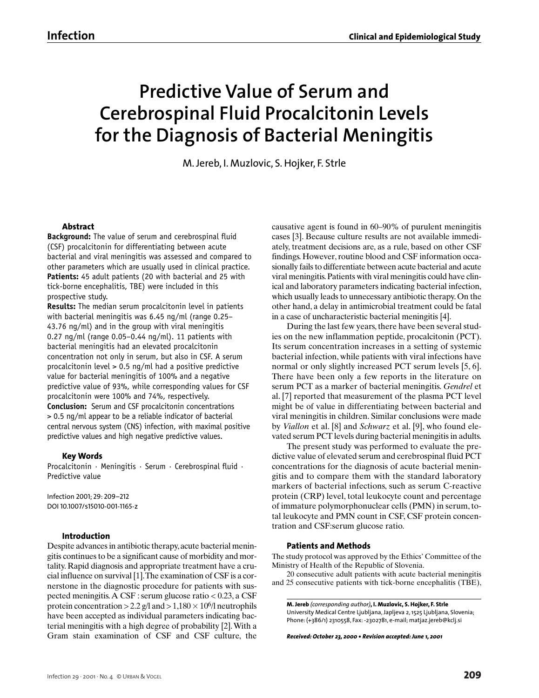# **Predictive Value of Serum and Cerebrospinal Fluid Procalcitonin Levels for the Diagnosis of Bacterial Meningitis**

M. Jereb, I. Muzlovic, S. Hojker, F. Strle

### **Abstract**

**Background:** The value of serum and cerebrospinal fluid (CSF) procalcitonin for differentiating between acute bacterial and viral meningitis was assessed and compared to other parameters which are usually used in clinical practice. **Patients:** 45 adult patients (20 with bacterial and 25 with tick-borne encephalitis, TBE) were included in this prospective study.

**Results:** The median serum procalcitonin level in patients with bacterial meningitis was 6.45 ng/ml (range 0.25– 43.76 ng/ml) and in the group with viral meningitis 0.27 ng/ml (range 0.05–0.44 ng/ml). 11 patients with bacterial meningitis had an elevated procalcitonin concentration not only in serum, but also in CSF. A serum procalcitonin level > 0.5 ng/ml had a positive predictive value for bacterial meningitis of 100% and a negative predictive value of 93%, while corresponding values for CSF procalcitonin were 100% and 74%, respectively. **Conclusion:** Serum and CSF procalcitonin concentrations > 0.5 ng/ml appear to be a reliable indicator of bacterial central nervous system (CNS) infection, with maximal positive predictive values and high negative predictive values.

### **Key Words**

Procalcitonin · Meningitis · Serum · Cerebrospinal fluid · Predictive value

Infection 2001; 29: 209–212 DOI 10.1007/s15010-001-1165-z

### **Introduction**

Despite advances in antibiotic therapy,acute bacterial meningitis continues to be a significant cause of morbidity and mortality. Rapid diagnosis and appropriate treatment have a crucial influence on survival [1].The examination of CSF is a cornerstone in the diagnostic procedure for patients with suspected meningitis.A CSF : serum glucose ratio < 0.23, a CSF protein concentration > 2.2 g/l and >  $1,180 \times 10^6/$ l neutrophils have been accepted as individual parameters indicating bacterial meningitis with a high degree of probability [2].With a Gram stain examination of CSF and CSF culture, the causative agent is found in 60–90% of purulent meningitis cases [3]. Because culture results are not available immediately, treatment decisions are, as a rule, based on other CSF findings. However, routine blood and CSF information occasionally fails to differentiate between acute bacterial and acute viral meningitis.Patients with viral meningitis could have clinical and laboratory parameters indicating bacterial infection, which usually leads to unnecessary antibiotic therapy. On the other hand, a delay in antimicrobial treatment could be fatal in a case of uncharacteristic bacterial meningitis [4].

During the last few years, there have been several studies on the new inflammation peptide, procalcitonin (PCT). Its serum concentration increases in a setting of systemic bacterial infection, while patients with viral infections have normal or only slightly increased PCT serum levels [5, 6]. There have been only a few reports in the literature on serum PCT as a marker of bacterial meningitis. *Gendrel* et al. [7] reported that measurement of the plasma PCT level might be of value in differentiating between bacterial and viral meningitis in children. Similar conclusions were made by *Viallon* et al. [8] and *Schwarz* et al. [9], who found elevated serum PCT levels during bacterial meningitis in adults.

The present study was performed to evaluate the predictive value of elevated serum and cerebrospinal fluid PCT concentrations for the diagnosis of acute bacterial meningitis and to compare them with the standard laboratory markers of bacterial infections, such as serum C-reactive protein (CRP) level, total leukocyte count and percentage of immature polymorphonuclear cells (PMN) in serum, total leukocyte and PMN count in CSF, CSF protein concentration and CSF:serum glucose ratio.

### **Patients and Methods**

The study protocol was approved by the Ethics' Committee of the Ministry of Health of the Republic of Slovenia.

20 consecutive adult patients with acute bacterial meningitis and 25 consecutive patients with tick-borne encephalitis (TBE),

**M. Jereb** *(corresponding author)***, I. Muzlovic, S. Hojker, F. Strle** University Medical Centre Ljubljana, Japljeva 2, 1525 Ljubljana, Slovenia; Phone: (+386/1) 2310558, Fax: -2302781, e-mail; matjaz.jereb@kclj.si

*Received: October 23, 2000 • Revision accepted: June 1, 2001*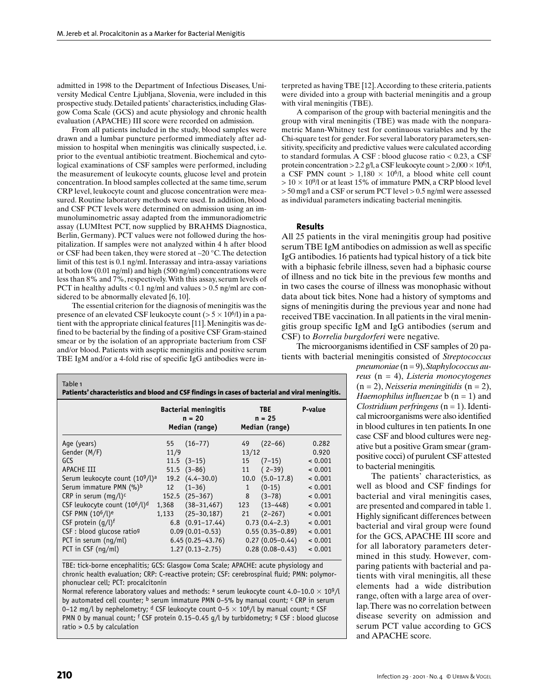admitted in 1998 to the Department of Infectious Diseases, University Medical Centre Ljubljana, Slovenia, were included in this prospective study. Detailed patients' characteristics, including Glasgow Coma Scale (GCS) and acute physiology and chronic health evaluation (APACHE) III score were recorded on admission.

From all patients included in the study, blood samples were drawn and a lumbar puncture performed immediately after admission to hospital when meningitis was clinically suspected, i.e. prior to the eventual antibiotic treatment. Biochemical and cytological examinations of CSF samples were performed, including the measurement of leukocyte counts, glucose level and protein concentration. In blood samples collected at the same time, serum CRP level, leukocyte count and glucose concentration were measured. Routine laboratory methods were used. In addition, blood and CSF PCT levels were determined on admission using an immunoluminometric assay adapted from the immunoradiometric assay (LUMItest PCT, now supplied by BRAHMS Diagnostica, Berlin, Germany). PCT values were not followed during the hospitalization. If samples were not analyzed within 4 h after blood or CSF had been taken, they were stored at –20 °C.The detection limit of this test is 0.1 ng/ml. Interassay and intra-assay variations at both low (0.01 ng/ml) and high (500 ng/ml) concentrations were less than 8% and 7%, respectively.With this assay, serum levels of PCT in healthy adults  $< 0.1$  ng/ml and values  $> 0.5$  ng/ml are considered to be abnormally elevated [6, 10].

The essential criterion for the diagnosis of meningitis was the presence of an elevated CSF leukocyte count (>  $5 \times 10^{6}/l$ ) in a patient with the appropriate clinical features [11]. Meningitis was defined to be bacterial by the finding of a positive CSF Gram-stained smear or by the isolation of an appropriate bacterium from CSF and/or blood. Patients with aseptic meningitis and positive serum TBE IgM and/or a 4-fold rise of specific IgG antibodies were in-

| Table 1<br>Patients' characteristics and blood and CSF findings in cases of bacterial and viral meningitis. |                                                           |                           |                                          |                         |         |  |  |  |  |
|-------------------------------------------------------------------------------------------------------------|-----------------------------------------------------------|---------------------------|------------------------------------------|-------------------------|---------|--|--|--|--|
|                                                                                                             | <b>Bacterial meningitis</b><br>$n = 20$<br>Median (range) |                           | <b>TBE</b><br>$n = 25$<br>Median (range) |                         | P-value |  |  |  |  |
| Age (years)                                                                                                 | 55                                                        | $(16 - 77)$               | 49                                       | $(22 - 66)$             | 0.282   |  |  |  |  |
| Gender (M/F)                                                                                                | 11/9                                                      |                           | 13/12                                    |                         | 0.920   |  |  |  |  |
| GCS                                                                                                         |                                                           | $11.5$ $(3-15)$           |                                          | $15(7-15)$              | < 0.001 |  |  |  |  |
| APACHE III                                                                                                  |                                                           | $51.5$ $(3-86)$           |                                          | $11(2-39)$              | < 0.001 |  |  |  |  |
| Serum leukocyte count (10 <sup>9</sup> /l) <sup>a</sup>                                                     |                                                           | $19.2 \quad (4.4 - 30.0)$ |                                          | $10.0 \quad (5.0-17.8)$ | < 0.001 |  |  |  |  |
| Serum immature PMN (%)b                                                                                     | 12                                                        | $(1 - 36)$                | $1 \quad$                                | $(0-15)$                | < 0.001 |  |  |  |  |
| CRP in serum (mq/l) <sup>c</sup>                                                                            |                                                           | $152.5$ $(25-367)$        | 8                                        | $(3 - 78)$              | < 0.001 |  |  |  |  |
| CSF leukocyte count $(10^6/l)^d$                                                                            |                                                           | $1,368$ $(38-31,467)$     |                                          | $123(13-448)$           | < 0.001 |  |  |  |  |
| CSF PMN (10 <sup>6</sup> /l) <sup>e</sup>                                                                   |                                                           | $1,133$ $(25-30,187)$     | 21                                       | $(2 - 267)$             | < 0.001 |  |  |  |  |
| CSF protein $(q/l)^f$                                                                                       |                                                           | $6.8$ $(0.91-17.44)$      |                                          | $0.73(0.4-2.3)$         | < 0.001 |  |  |  |  |
| CSF : blood qlucose ratio <sup>g</sup>                                                                      |                                                           | $0.09(0.01 - 0.53)$       |                                          | $0.55(0.35-0.89)$       | < 0.001 |  |  |  |  |
| PCT in serum (nq/ml)                                                                                        |                                                           | $6.45(0.25 - 43.76)$      |                                          | $0.27(0.05 - 0.44)$     | < 0.001 |  |  |  |  |
| PCT in CSF (ng/ml)                                                                                          |                                                           | $1.27(0.13 - 2.75)$       |                                          | $0.28(0.08 - 0.43)$     | < 0.001 |  |  |  |  |

TBE: tick-borne encephalitis; GCS: Glasgow Coma Scale; APACHE: acute physiology and chronic health evaluation; CRP: C-reactive protein; CSF: cerebrospinal fluid; PMN: polymorphonuclear cell; PCT: procalcitonin

Normal reference laboratory values and methods: a serum leukocyte count 4.0-10.0  $\times$  109/l by automated cell counter;  $\frac{b}{c}$  serum immature PMN 0-5% by manual count;  $\frac{c}{c}$  CRP in serum 0–12 mg/l by nephelometry; <sup>d</sup> CSF leukocyte count 0–5  $\times$  10<sup>6</sup>/l by manual count; <sup>e</sup> CSF PMN 0 by manual count; f CSF protein 0.15-0.45 g/l by turbidometry; <sup>g</sup> CSF : blood glucose ratio > 0.5 by calculation

terpreted as having TBE [12].According to these criteria, patients were divided into a group with bacterial meningitis and a group with viral meningitis (TBE).

A comparison of the group with bacterial meningitis and the group with viral meningitis (TBE) was made with the nonparametric Mann-Whitney test for continuous variables and by the Chi-square test for gender. For several laboratory parameters, sensitivity, specificity and predictive values were calculated according to standard formulas. A CSF : blood glucose ratio < 0.23, a CSF protein concentration > 2.2 g/l, a CSF leukocyte count > 2,000  $\times$  10<sup>6</sup>/l, a CSF PMN count  $> 1,180 \times 10^6/1$ , a blood white cell count  $>$  10  $\times$  10% or at least 15% of immature PMN, a CRP blood level > 50 mg/l and a CSF or serum PCT level > 0.5 ng/ml were assessed as individual parameters indicating bacterial meningitis.

#### **Results**

All 25 patients in the viral meningitis group had positive serum TBE IgM antibodies on admission as well as specific IgG antibodies. 16 patients had typical history of a tick bite with a biphasic febrile illness, seven had a biphasic course of illness and no tick bite in the previous few months and in two cases the course of illness was monophasic without data about tick bites. None had a history of symptoms and signs of meningitis during the previous year and none had received TBE vaccination. In all patients in the viral meningitis group specific IgM and IgG antibodies (serum and CSF) to *Borrelia burgdorferi* were negative.

The microorganisms identified in CSF samples of 20 patients with bacterial meningitis consisted of *Streptococcus*

> *pneumoniae* (n = 9),*Staphylococcus aureus* (n = 4), *Listeria monocytogenes* (n = 2), *Neisseria meningitidis* (n = 2), *Haemophilus influenzae* **b** (**n** = 1) and *Clostridium perfringens* (n = 1). Identical microorganisms were also identified in blood cultures in ten patients. In one case CSF and blood cultures were negative but a positive Gram smear (grampositive cocci) of purulent CSF attested to bacterial meningitis.

> The patients' characteristics, as well as blood and CSF findings for bacterial and viral meningitis cases, are presented and compared in table 1. Highly significant differences between bacterial and viral group were found for the GCS, APACHE III score and for all laboratory parameters determined in this study. However, comparing patients with bacterial and patients with viral meningitis, all these elements had a wide distribution range, often with a large area of overlap.There was no correlation between disease severity on admission and serum PCT value according to GCS and APACHE score.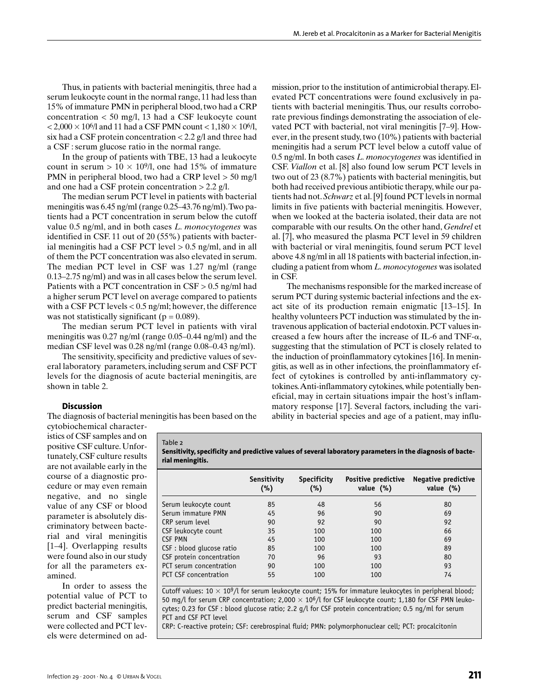Thus, in patients with bacterial meningitis, three had a serum leukocyte count in the normal range, 11 had less than 15% of immature PMN in peripheral blood, two had a CRP concentration < 50 mg/l, 13 had a CSF leukocyte count  $<$  2,000  $\times$  10<sup>6</sup>/l and 11 had a CSF PMN count  $<$  1,180  $\times$  10<sup>6</sup>/l, six had a CSF protein concentration < 2.2 g/l and three had a CSF : serum glucose ratio in the normal range.

In the group of patients with TBE, 13 had a leukocyte count in serum  $> 10 \times 10<sup>9</sup>/l$ , one had 15% of immature PMN in peripheral blood, two had a CRP level > 50 mg/l and one had a CSF protein concentration  $> 2.2$  g/l.

The median serum PCT level in patients with bacterial meningitis was 6.45 ng/ml (range 0.25–43.76 ng/ml).Two patients had a PCT concentration in serum below the cutoff value 0.5 ng/ml, and in both cases *L. monocytogenes* was identified in CSF. 11 out of 20 (55%) patients with bacterial meningitis had a CSF PCT level  $> 0.5$  ng/ml, and in all of them the PCT concentration was also elevated in serum. The median PCT level in CSF was 1.27 ng/ml (range 0.13–2.75 ng/ml) and was in all cases below the serum level. Patients with a PCT concentration in  $CSF > 0.5$  ng/ml had a higher serum PCT level on average compared to patients with a CSF PCT levels < 0.5 ng/ml; however, the difference was not statistically significant ( $p = 0.089$ ).

The median serum PCT level in patients with viral meningitis was 0.27 ng/ml (range 0.05–0.44 ng/ml) and the median CSF level was 0.28 ng/ml (range 0.08–0.43 ng/ml).

The sensitivity, specificity and predictive values of several laboratory parameters, including serum and CSF PCT levels for the diagnosis of acute bacterial meningitis, are shown in table 2.

mission, prior to the institution of antimicrobial therapy. Elevated PCT concentrations were found exclusively in patients with bacterial meningitis. Thus, our results corroborate previous findings demonstrating the association of elevated PCT with bacterial, not viral meningitis [7–9]. However, in the present study, two (10%) patients with bacterial meningitis had a serum PCT level below a cutoff value of 0.5 ng/ml. In both cases *L. monocytogenes* was identified in CSF. *Viallon* et al. [8] also found low serum PCT levels in two out of 23 (8.7%) patients with bacterial meningitis, but both had received previous antibiotic therapy, while our patients had not.*Schwarz* et al. [9] found PCT levels in normal limits in five patients with bacterial meningitis. However, when we looked at the bacteria isolated, their data are not comparable with our results. On the other hand, *Gendrel* et al. [7], who measured the plasma PCT level in 59 children with bacterial or viral meningitis, found serum PCT level above 4.8 ng/ml in all 18 patients with bacterial infection, including a patient from whom *L. monocytogenes* was isolated in CSF.

The mechanisms responsible for the marked increase of serum PCT during systemic bacterial infections and the exact site of its production remain enigmatic [13–15]. In healthy volunteers PCT induction was stimulated by the intravenous application of bacterial endotoxin. PCT values increased a few hours after the increase of IL-6 and TNF- $\alpha$ , suggesting that the stimulation of PCT is closely related to the induction of proinflammatory cytokines [16]. In meningitis, as well as in other infections, the proinflammatory effect of cytokines is controlled by anti-inflammatory cytokines.Anti-inflammatory cytokines, while potentially beneficial, may in certain situations impair the host's inflammatory response [17]. Several factors, including the variability in bacterial species and age of a patient, may influ-

## **Discussion**

The diagnosis of bacterial meningitis has been based on the

Table 2

cytobiochemical characteristics of CSF samples and on positive CSF culture. Unfortunately, CSF culture results are not available early in the course of a diagnostic procedure or may even remain negative, and no single value of any CSF or blood parameter is absolutely discriminatory between bacterial and viral meningitis [1–4]. Overlapping results were found also in our study for all the parameters examined.

In order to assess the potential value of PCT to predict bacterial meningitis, serum and CSF samples were collected and PCT levels were determined on ad**Sensitivity, specificity and predictive values of several laboratory parameters in the diagnosis of bacterial meningitis.**

|                              | Sensitivity<br>(%) | <b>Specificity</b><br>(%) | Positive predictive<br>value (%) | <b>Negative predictive</b><br>value $(\%)$ |
|------------------------------|--------------------|---------------------------|----------------------------------|--------------------------------------------|
| Serum leukocyte count        | 85                 | 48                        | 56                               | 80                                         |
| Serum immature PMN           | 45                 | 96                        | 90                               | 69                                         |
| CRP serum level              | 90                 | 92                        | 90                               | 92                                         |
| CSF leukocyte count          | 35                 | 100                       | 100                              | 66                                         |
| <b>CSF PMN</b>               | 45                 | 100                       | 100                              | 69                                         |
| CSF : blood qlucose ratio    | 85                 | 100                       | 100                              | 89                                         |
| CSF protein concentration    | 70                 | 96                        | 93                               | 80                                         |
| PCT serum concentration      | 90                 | 100                       | 100                              | 93                                         |
| <b>PCT CSF concentration</b> | 55                 | 100                       | 100                              | 74                                         |

Cutoff values:  $10 \times 10^9$ /l for serum leukocyte count; 15% for immature leukocytes in peripheral blood; 50 mg/l for serum CRP concentration; 2,000  $\times$  10<sup>6</sup>/l for CSF leukocyte count; 1,180 for CSF PMN leukocytes; 0.23 for CSF : blood glucose ratio; 2.2 g/l for CSF protein concentration; 0.5 ng/ml for serum PCT and CSF PCT level

CRP: C-reactive protein; CSF: cerebrospinal fluid; PMN: polymorphonuclear cell; PCT: procalcitonin